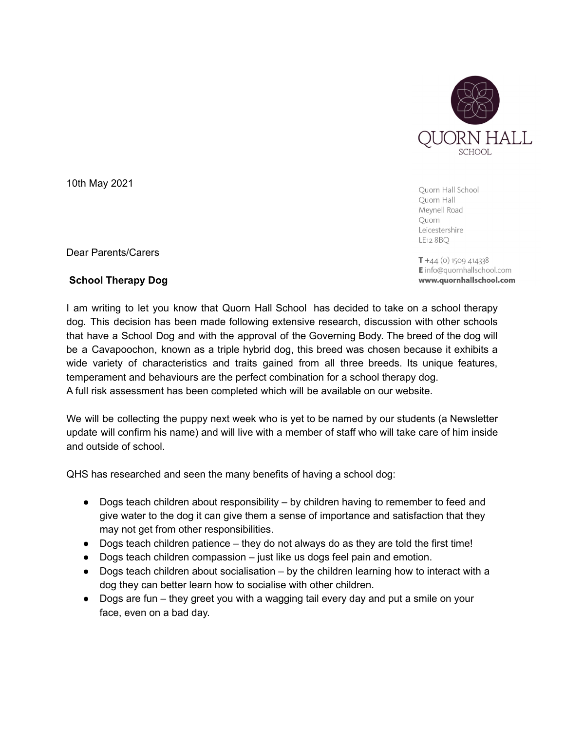

Ouorn Hall School Quorn Hall Mevnell Road Quorn Leicestershire LE12 8 BQ

 $T + 44$  (o) 1509 414338 **E** info@quornhallschool.com www.quornhallschool.com

Dear Parents/Carers

10th May 2021

## **School Therapy Dog**

I am writing to let you know that Quorn Hall School has decided to take on a school therapy dog. This decision has been made following extensive research, discussion with other schools that have a School Dog and with the approval of the Governing Body. The breed of the dog will be a Cavapoochon, known as a triple hybrid dog, this breed was chosen because it exhibits a wide variety of characteristics and traits gained from all three breeds. Its unique features, temperament and behaviours are the perfect combination for a school therapy dog. A full risk assessment has been completed which will be available on our website.

We will be collecting the puppy next week who is yet to be named by our students (a Newsletter update will confirm his name) and will live with a member of staff who will take care of him inside and outside of school.

QHS has researched and seen the many benefits of having a school dog:

- Dogs teach children about responsibility by children having to remember to feed and give water to the dog it can give them a sense of importance and satisfaction that they may not get from other responsibilities.
- Dogs teach children patience they do not always do as they are told the first time!
- $\bullet$  Dogs teach children compassion  $-$  just like us dogs feel pain and emotion.
- $\bullet$  Dogs teach children about socialisation by the children learning how to interact with a dog they can better learn how to socialise with other children.
- Dogs are fun they greet you with a wagging tail every day and put a smile on your face, even on a bad day.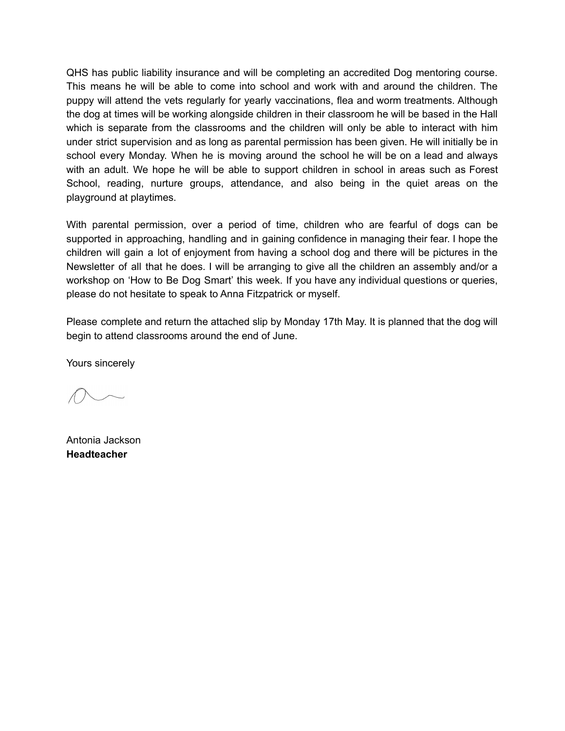QHS has public liability insurance and will be completing an accredited Dog mentoring course. This means he will be able to come into school and work with and around the children. The puppy will attend the vets regularly for yearly vaccinations, flea and worm treatments. Although the dog at times will be working alongside children in their classroom he will be based in the Hall which is separate from the classrooms and the children will only be able to interact with him under strict supervision and as long as parental permission has been given. He will initially be in school every Monday. When he is moving around the school he will be on a lead and always with an adult. We hope he will be able to support children in school in areas such as Forest School, reading, nurture groups, attendance, and also being in the quiet areas on the playground at playtimes.

With parental permission, over a period of time, children who are fearful of dogs can be supported in approaching, handling and in gaining confidence in managing their fear. I hope the children will gain a lot of enjoyment from having a school dog and there will be pictures in the Newsletter of all that he does. I will be arranging to give all the children an assembly and/or a workshop on 'How to Be Dog Smart' this week. If you have any individual questions or queries, please do not hesitate to speak to Anna Fitzpatrick or myself.

Please complete and return the attached slip by Monday 17th May. It is planned that the dog will begin to attend classrooms around the end of June.

Yours sincerely

Antonia Jackson **Headteacher**